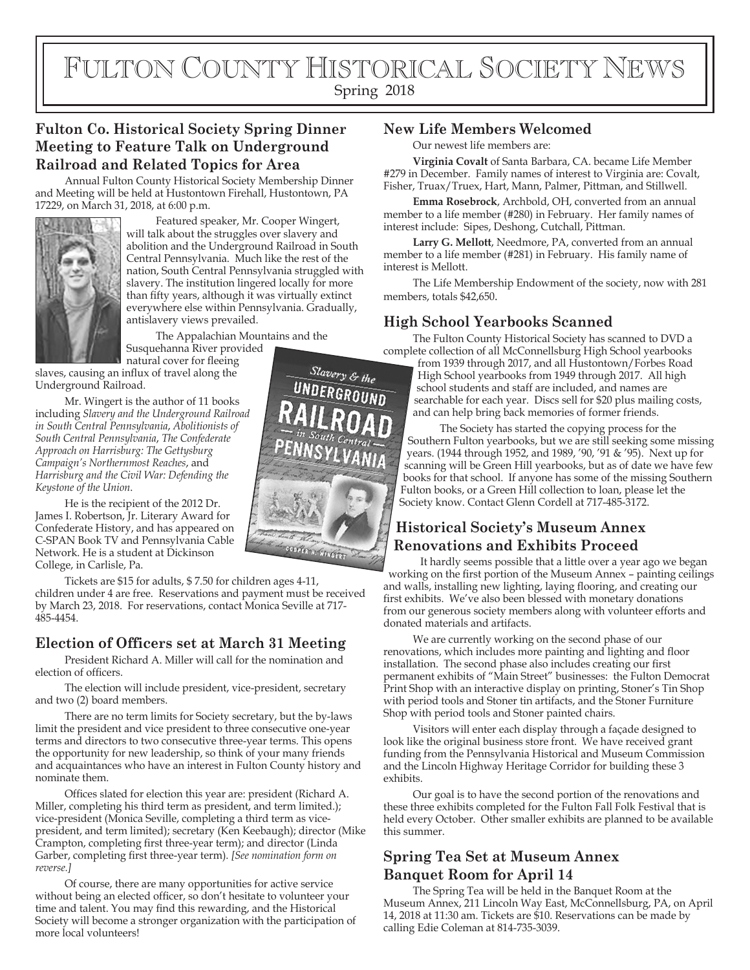# FULTON COUNTY HISTORICAL SOCIETY NEWS

Spring 2018

### **Fulton Co. Historical Society Spring Dinner Meeting to Feature Talk on Underground Railroad and Related Topics for Area**

Annual Fulton County Historical Society Membership Dinner and Meeting will be held at Hustontown Firehall, Hustontown, PA 17229, on March 31, 2018, at 6:00 p.m.



Featured speaker, Mr. Cooper Wingert, will talk about the struggles over slavery and abolition and the Underground Railroad in South Central Pennsylvania. Much like the rest of the nation, South Central Pennsylvania struggled with slavery. The institution lingered locally for more than fifty years, although it was virtually extinct everywhere else within Pennsylvania. Gradually, antislavery views prevailed.

The Appalachian Mountains and the Susquehanna River provided

natural cover for fleeing slaves, causing an influx of travel along the Underground Railroad.

Mr. Wingert is the author of 11 books including *Slavery and the Underground Railroad in South Central Pennsylvania*, *Abolitionists of South Central Pennsylvania*, *The Confederate Approach on Harrisburg: The Gettysburg Campaign's Northernmost Reaches*, and *Harrisburg and the Civil War: Defending the Keystone of the Union*.

He is the recipient of the 2012 Dr. James I. Robertson, Jr. Literary Award for Confederate History, and has appeared on C-SPAN Book TV and Pennsylvania Cable Network. He is a student at Dickinson College, in Carlisle, Pa.

Tickets are \$15 for adults, \$ 7.50 for children ages 4-11, children under 4 are free. Reservations and payment must be received by March 23, 2018. For reservations, contact Monica Seville at 717- 485-4454.

#### **Election of Officers set at March 31 Meeting**

President Richard A. Miller will call for the nomination and election of officers.

The election will include president, vice-president, secretary and two (2) board members.

There are no term limits for Society secretary, but the by-laws limit the president and vice president to three consecutive one-year terms and directors to two consecutive three-year terms. This opens the opportunity for new leadership, so think of your many friends and acquaintances who have an interest in Fulton County history and nominate them.

Offices slated for election this year are: president (Richard A. Miller, completing his third term as president, and term limited.); vice-president (Monica Seville, completing a third term as vicepresident, and term limited); secretary (Ken Keebaugh); director (Mike Crampton, completing first three-year term); and director (Linda Garber, completing first three-year term). *[See nomination form on reverse.]*

Of course, there are many opportunities for active service without being an elected officer, so don't hesitate to volunteer your time and talent. You may find this rewarding, and the Historical Society will become a stronger organization with the participation of more local volunteers!

#### **New Life Members Welcomed**

Our newest life members are:

**Virginia Covalt** of Santa Barbara, CA. became Life Member #279 in December. Family names of interest to Virginia are: Covalt, Fisher, Truax/Truex, Hart, Mann, Palmer, Pittman, and Stillwell.

**Emma Rosebrock**, Archbold, OH, converted from an annual member to a life member (#280) in February. Her family names of interest include: Sipes, Deshong, Cutchall, Pittman.

**Larry G. Mellott**, Needmore, PA, converted from an annual member to a life member (#281) in February. His family name of interest is Mellott.

The Life Membership Endowment of the society, now with 281 members, totals \$42,650.

#### **High School Yearbooks Scanned**

The Fulton County Historical Society has scanned to DVD a complete collection of all McConnellsburg High School yearbooks

from 1939 through 2017, and all Hustontown/Forbes Road High School yearbooks from 1949 through 2017. All high school students and staff are included, and names are searchable for each year. Discs sell for \$20 plus mailing costs, and can help bring back memories of former friends.

The Society has started the copying process for the Southern Fulton yearbooks, but we are still seeking some missing years. (1944 through 1952, and 1989, '90, '91 & '95). Next up for scanning will be Green Hill yearbooks, but as of date we have few books for that school. If anyone has some of the missing Southern Fulton books, or a Green Hill collection to loan, please let the Society know. Contact Glenn Cordell at 717-485-3172.

#### **Historical Society's Museum Annex Renovations and Exhibits Proceed**

It hardly seems possible that a little over a year ago we began working on the first portion of the Museum Annex – painting ceilings and walls, installing new lighting, laying flooring, and creating our first exhibits. We've also been blessed with monetary donations from our generous society members along with volunteer efforts and donated materials and artifacts.

We are currently working on the second phase of our renovations, which includes more painting and lighting and floor installation. The second phase also includes creating our first permanent exhibits of "Main Street" businesses: the Fulton Democrat Print Shop with an interactive display on printing, Stoner's Tin Shop with period tools and Stoner tin artifacts, and the Stoner Furniture Shop with period tools and Stoner painted chairs.

Visitors will enter each display through a façade designed to look like the original business store front. We have received grant funding from the Pennsylvania Historical and Museum Commission and the Lincoln Highway Heritage Corridor for building these 3 exhibits.

Our goal is to have the second portion of the renovations and these three exhibits completed for the Fulton Fall Folk Festival that is held every October. Other smaller exhibits are planned to be available this summer.

#### **Spring Tea Set at Museum Annex Banquet Room for April 14**

The Spring Tea will be held in the Banquet Room at the Museum Annex, 211 Lincoln Way East, McConnellsburg, PA, on April 14, 2018 at 11:30 am. Tickets are \$10. Reservations can be made by calling Edie Coleman at 814-735-3039.